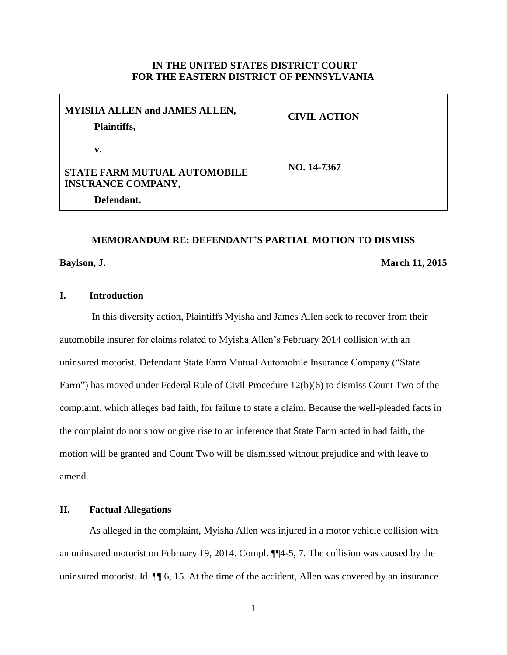## **IN THE UNITED STATES DISTRICT COURT FOR THE EASTERN DISTRICT OF PENNSYLVANIA**

| <b>MYISHA ALLEN and JAMES ALLEN,</b><br>Plaintiffs,                                  | <b>CIVIL ACTION</b> |
|--------------------------------------------------------------------------------------|---------------------|
| v.<br><b>STATE FARM MUTUAL AUTOMOBILE</b><br><b>INSURANCE COMPANY,</b><br>Defendant. | NO. 14-7367         |

#### **MEMORANDUM RE: DEFENDANT'S PARTIAL MOTION TO DISMISS**

**Baylson, J. March 11, 2015**

# **I. Introduction**

In this diversity action, Plaintiffs Myisha and James Allen seek to recover from their automobile insurer for claims related to Myisha Allen's February 2014 collision with an uninsured motorist. Defendant State Farm Mutual Automobile Insurance Company ("State Farm") has moved under Federal Rule of Civil Procedure 12(b)(6) to dismiss Count Two of the complaint, which alleges bad faith, for failure to state a claim. Because the well-pleaded facts in the complaint do not show or give rise to an inference that State Farm acted in bad faith, the motion will be granted and Count Two will be dismissed without prejudice and with leave to amend.

# **II. Factual Allegations**

As alleged in the complaint, Myisha Allen was injured in a motor vehicle collision with an uninsured motorist on February 19, 2014. Compl. ¶¶4-5, 7. The collision was caused by the uninsured motorist. Id.  $\P$  6, 15. At the time of the accident, Allen was covered by an insurance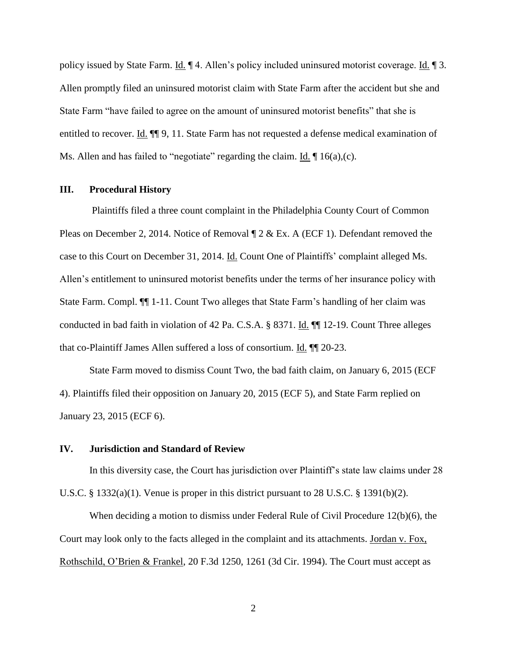policy issued by State Farm. Id. ¶ 4. Allen's policy included uninsured motorist coverage. Id. ¶ 3. Allen promptly filed an uninsured motorist claim with State Farm after the accident but she and State Farm "have failed to agree on the amount of uninsured motorist benefits" that she is entitled to recover. Id.  $\P$  9, 11. State Farm has not requested a defense medical examination of Ms. Allen and has failed to "negotiate" regarding the claim.  $\underline{Id}$ .  $\P$  16(a),(c).

#### **III. Procedural History**

Plaintiffs filed a three count complaint in the Philadelphia County Court of Common Pleas on December 2, 2014. Notice of Removal  $\P$  2 & Ex. A (ECF 1). Defendant removed the case to this Court on December 31, 2014. Id. Count One of Plaintiffs' complaint alleged Ms. Allen's entitlement to uninsured motorist benefits under the terms of her insurance policy with State Farm. Compl. ¶¶ 1-11. Count Two alleges that State Farm's handling of her claim was conducted in bad faith in violation of 42 Pa. C.S.A. § 8371. Id. ¶¶ 12-19. Count Three alleges that co-Plaintiff James Allen suffered a loss of consortium. Id. ¶¶ 20-23.

State Farm moved to dismiss Count Two, the bad faith claim, on January 6, 2015 (ECF 4). Plaintiffs filed their opposition on January 20, 2015 (ECF 5), and State Farm replied on January 23, 2015 (ECF 6).

#### **IV. Jurisdiction and Standard of Review**

In this diversity case, the Court has jurisdiction over Plaintiff's state law claims under 28 U.S.C. § 1332(a)(1). Venue is proper in this district pursuant to 28 U.S.C. § 1391(b)(2).

When deciding a motion to dismiss under Federal Rule of Civil Procedure 12(b)(6), the Court may look only to the facts alleged in the complaint and its attachments. Jordan v. Fox, Rothschild, O'Brien & Frankel, 20 F.3d 1250, 1261 (3d Cir. 1994). The Court must accept as

2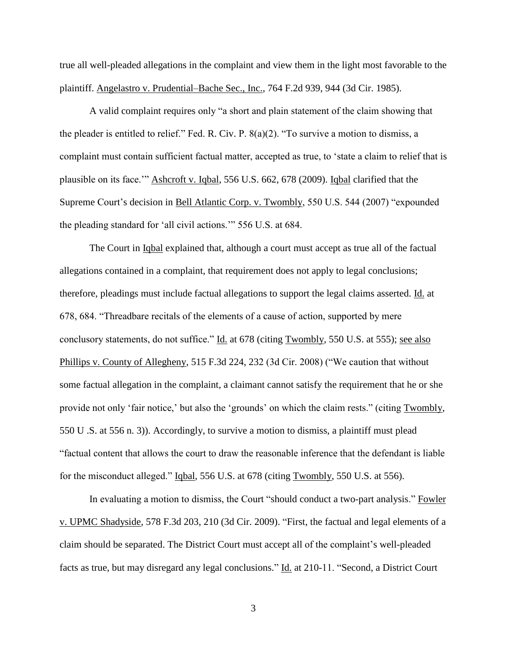true all well-pleaded allegations in the complaint and view them in the light most favorable to the plaintiff. Angelastro v. Prudential–Bache Sec., Inc., 764 F.2d 939, 944 (3d Cir. 1985).

A valid complaint requires only "a short and plain statement of the claim showing that the pleader is entitled to relief." Fed. R. Civ. P. 8(a)(2). "To survive a motion to dismiss, a complaint must contain sufficient factual matter, accepted as true, to 'state a claim to relief that is plausible on its face.'" Ashcroft v. Iqbal, 556 U.S. 662, 678 (2009). Iqbal clarified that the Supreme Court's decision in Bell Atlantic Corp. v. Twombly, 550 U.S. 544 (2007) "expounded the pleading standard for 'all civil actions.'" 556 U.S. at 684.

The Court in Iqbal explained that, although a court must accept as true all of the factual allegations contained in a complaint, that requirement does not apply to legal conclusions; therefore, pleadings must include factual allegations to support the legal claims asserted. Id. at 678, 684. "Threadbare recitals of the elements of a cause of action, supported by mere conclusory statements, do not suffice." Id. at 678 (citing Twombly, 550 U.S. at 555); see also Phillips v. County of Allegheny, 515 F.3d 224, 232 (3d Cir. 2008) ("We caution that without some factual allegation in the complaint, a claimant cannot satisfy the requirement that he or she provide not only 'fair notice,' but also the 'grounds' on which the claim rests." (citing Twombly, 550 U .S. at 556 n. 3)). Accordingly, to survive a motion to dismiss, a plaintiff must plead "factual content that allows the court to draw the reasonable inference that the defendant is liable for the misconduct alleged." Iqbal, 556 U.S. at 678 (citing Twombly, 550 U.S. at 556).

In evaluating a motion to dismiss, the Court "should conduct a two-part analysis." Fowler v. UPMC Shadyside, 578 F.3d 203, 210 (3d Cir. 2009). "First, the factual and legal elements of a claim should be separated. The District Court must accept all of the complaint's well-pleaded facts as true, but may disregard any legal conclusions." Id. at 210-11. "Second, a District Court

3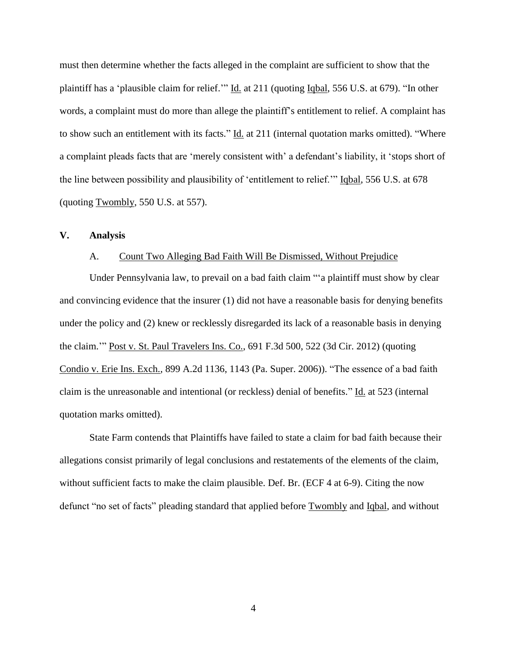must then determine whether the facts alleged in the complaint are sufficient to show that the plaintiff has a 'plausible claim for relief.'" Id. at 211 (quoting Iqbal, 556 U.S. at 679). "In other words, a complaint must do more than allege the plaintiff's entitlement to relief. A complaint has to show such an entitlement with its facts." Id. at 211 (internal quotation marks omitted). "Where a complaint pleads facts that are 'merely consistent with' a defendant's liability, it 'stops short of the line between possibility and plausibility of 'entitlement to relief.'" Iqbal, 556 U.S. at 678 (quoting Twombly, 550 U.S. at 557).

#### **V. Analysis**

#### A. Count Two Alleging Bad Faith Will Be Dismissed, Without Prejudice

Under Pennsylvania law, to prevail on a bad faith claim "'a plaintiff must show by clear and convincing evidence that the insurer (1) did not have a reasonable basis for denying benefits under the policy and (2) knew or recklessly disregarded its lack of a reasonable basis in denying the claim.'" Post v. St. Paul Travelers Ins. Co., 691 F.3d 500, 522 (3d Cir. 2012) (quoting Condio v. Erie Ins. Exch., 899 A.2d 1136, 1143 (Pa. Super. 2006)). "The essence of a bad faith claim is the unreasonable and intentional (or reckless) denial of benefits." Id. at 523 (internal quotation marks omitted).

State Farm contends that Plaintiffs have failed to state a claim for bad faith because their allegations consist primarily of legal conclusions and restatements of the elements of the claim, without sufficient facts to make the claim plausible. Def. Br. (ECF 4 at 6-9). Citing the now defunct "no set of facts" pleading standard that applied before Twombly and Iqbal, and without

4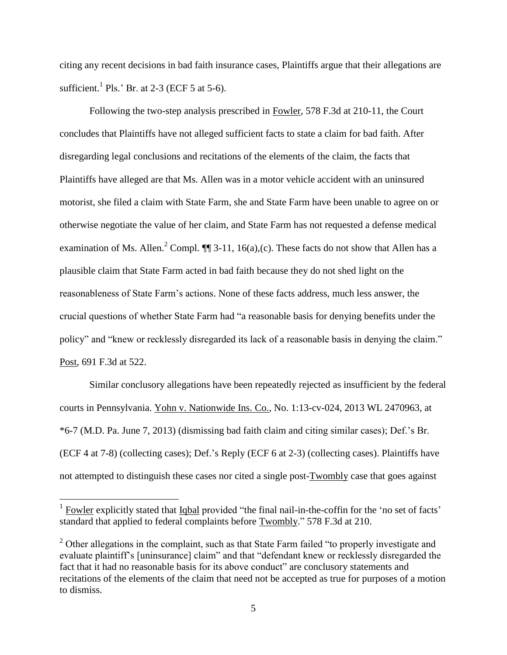citing any recent decisions in bad faith insurance cases, Plaintiffs argue that their allegations are sufficient.<sup>1</sup> Pls.' Br. at 2-3 (ECF 5 at 5-6).

Following the two-step analysis prescribed in Fowler, 578 F.3d at 210-11, the Court concludes that Plaintiffs have not alleged sufficient facts to state a claim for bad faith. After disregarding legal conclusions and recitations of the elements of the claim, the facts that Plaintiffs have alleged are that Ms. Allen was in a motor vehicle accident with an uninsured motorist, she filed a claim with State Farm, she and State Farm have been unable to agree on or otherwise negotiate the value of her claim, and State Farm has not requested a defense medical examination of Ms. Allen.<sup>2</sup> Compl.  $\P$  3-11, 16(a),(c). These facts do not show that Allen has a plausible claim that State Farm acted in bad faith because they do not shed light on the reasonableness of State Farm's actions. None of these facts address, much less answer, the crucial questions of whether State Farm had "a reasonable basis for denying benefits under the policy" and "knew or recklessly disregarded its lack of a reasonable basis in denying the claim." Post, 691 F.3d at 522.

Similar conclusory allegations have been repeatedly rejected as insufficient by the federal courts in Pennsylvania. Yohn v. Nationwide Ins. Co., No. 1:13-cv-024, 2013 WL 2470963, at \*6-7 (M.D. Pa. June 7, 2013) (dismissing bad faith claim and citing similar cases); Def.'s Br. (ECF 4 at 7-8) (collecting cases); Def.'s Reply (ECF 6 at 2-3) (collecting cases). Plaintiffs have not attempted to distinguish these cases nor cited a single post-Twombly case that goes against

 $\overline{a}$ 

 $1$  Fowler explicitly stated that  $Iqbal$  provided "the final nail-in-the-coffin for the 'no set of facts' standard that applied to federal complaints before Twombly." 578 F.3d at 210.

 $2$  Other allegations in the complaint, such as that State Farm failed "to properly investigate and evaluate plaintiff's [uninsurance] claim" and that "defendant knew or recklessly disregarded the fact that it had no reasonable basis for its above conduct" are conclusory statements and recitations of the elements of the claim that need not be accepted as true for purposes of a motion to dismiss.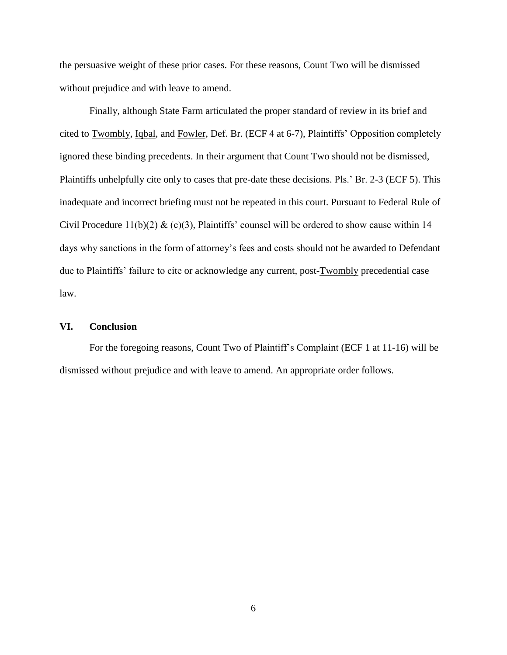the persuasive weight of these prior cases. For these reasons, Count Two will be dismissed without prejudice and with leave to amend.

Finally, although State Farm articulated the proper standard of review in its brief and cited to Twombly, Iqbal, and Fowler, Def. Br. (ECF 4 at 6-7), Plaintiffs' Opposition completely ignored these binding precedents. In their argument that Count Two should not be dismissed, Plaintiffs unhelpfully cite only to cases that pre-date these decisions. Pls.' Br. 2-3 (ECF 5). This inadequate and incorrect briefing must not be repeated in this court. Pursuant to Federal Rule of Civil Procedure 11(b)(2)  $\&$  (c)(3), Plaintiffs' counsel will be ordered to show cause within 14 days why sanctions in the form of attorney's fees and costs should not be awarded to Defendant due to Plaintiffs' failure to cite or acknowledge any current, post-Twombly precedential case law.

## **VI. Conclusion**

For the foregoing reasons, Count Two of Plaintiff's Complaint (ECF 1 at 11-16) will be dismissed without prejudice and with leave to amend. An appropriate order follows.